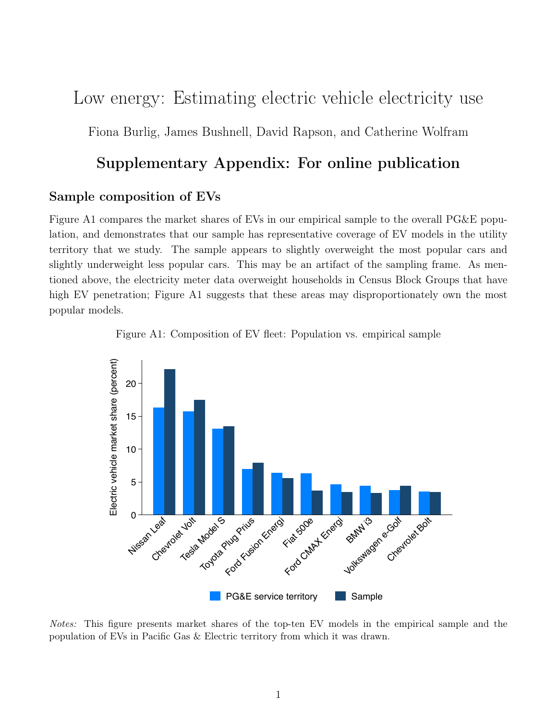# Low energy: Estimating electric vehicle electricity use

Fiona Burlig, James Bushnell, David Rapson, and Catherine Wolfram

### Supplementary Appendix: For online publication

#### Sample composition of EVs

Figure [A1](#page-0-0) compares the market shares of EVs in our empirical sample to the overall PG&E population, and demonstrates that our sample has representative coverage of EV models in the utility territory that we study. The sample appears to slightly overweight the most popular cars and slightly underweight less popular cars. This may be an artifact of the sampling frame. As mentioned above, the electricity meter data overweight households in Census Block Groups that have high EV penetration; Figure [A1](#page-0-0) suggests that these areas may disproportionately own the most popular models.



<span id="page-0-0"></span>

Notes: This figure presents market shares of the top-ten EV models in the empirical sample and the population of EVs in Pacific Gas & Electric territory from which it was drawn.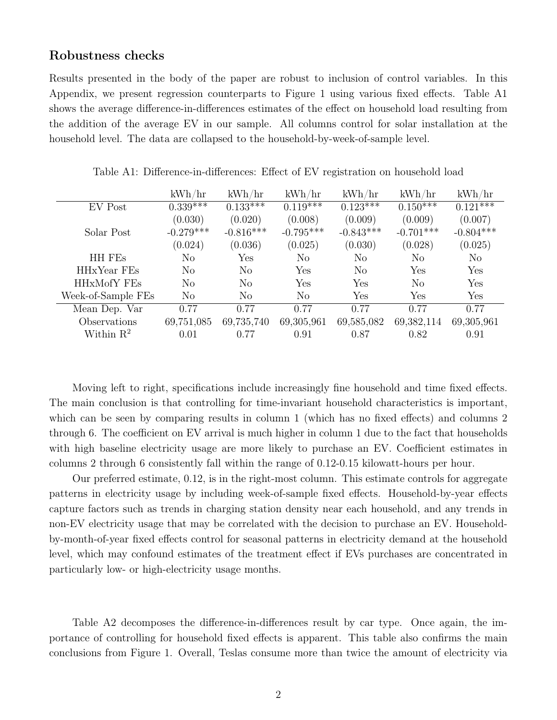#### Robustness checks

Results presented in the body of the paper are robust to inclusion of control variables. In this Appendix, we present regression counterparts to Figure [1](#page-3-0) using various fixed effects. Table [A1](#page-1-0) shows the average difference-in-differences estimates of the effect on household load resulting from the addition of the average EV in our sample. All columns control for solar installation at the household level. The data are collapsed to the household-by-week-of-sample level.

<span id="page-1-0"></span>

|                       | kWh/hr      | kWh/hr      | kWh/hr      | kWh/hr      | kWh/hr      | kWh/hr      |
|-----------------------|-------------|-------------|-------------|-------------|-------------|-------------|
| EV Post               | $0.339***$  | $0.133***$  | $0.119***$  | $0.123***$  | $0.150***$  | $0.121$ *** |
|                       | (0.030)     | (0.020)     | (0.008)     | (0.009)     | (0.009)     | (0.007)     |
| Solar Post            | $-0.279***$ | $-0.816***$ | $-0.795***$ | $-0.843***$ | $-0.701***$ | $-0.804***$ |
|                       | (0.024)     | (0.036)     | (0.025)     | (0.030)     | (0.028)     | (0.025)     |
| HH FEs                | No          | Yes         | No          | No          | No          | No          |
| HHxYear FEs           | No          | No          | Yes         | No          | Yes         | Yes         |
| HHxMofY FEs           | No          | No          | Yes         | Yes         | No          | Yes         |
| Week-of-Sample FEs    | No          | No          | No          | Yes         | Yes         | Yes         |
| Mean Dep. Var         | 0.77        | 0.77        | 0.77        | 0.77        | 0.77        | 0.77        |
| Observations          | 69,751,085  | 69,735,740  | 69,305,961  | 69,585,082  | 69,382,114  | 69,305,961  |
| Within $\mathbb{R}^2$ | 0.01        | 0.77        | 0.91        | 0.87        | 0.82        | 0.91        |

Table A1: Difference-in-differences: Effect of EV registration on household load

Moving left to right, specifications include increasingly fine household and time fixed effects. The main conclusion is that controlling for time-invariant household characteristics is important, which can be seen by comparing results in column 1 (which has no fixed effects) and columns 2 through 6. The coefficient on EV arrival is much higher in column 1 due to the fact that households with high baseline electricity usage are more likely to purchase an EV. Coefficient estimates in columns 2 through 6 consistently fall within the range of 0.12-0.15 kilowatt-hours per hour.

Our preferred estimate, 0.12, is in the right-most column. This estimate controls for aggregate patterns in electricity usage by including week-of-sample fixed effects. Household-by-year effects capture factors such as trends in charging station density near each household, and any trends in non-EV electricity usage that may be correlated with the decision to purchase an EV. Householdby-month-of-year fixed effects control for seasonal patterns in electricity demand at the household level, which may confound estimates of the treatment effect if EVs purchases are concentrated in particularly low- or high-electricity usage months.

Table [A2](#page-2-0) decomposes the difference-in-differences result by car type. Once again, the importance of controlling for household fixed effects is apparent. This table also confirms the main conclusions from Figure [1.](#page-3-0) Overall, Teslas consume more than twice the amount of electricity via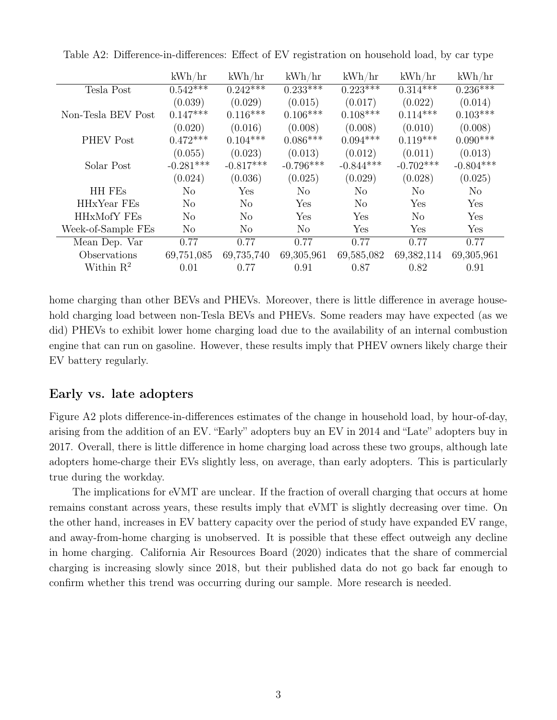|                       | kWh/hr         | kWh/hr         | kWh/hr                   | kWh/hr                | kWh/hr         | kWh/hr         |
|-----------------------|----------------|----------------|--------------------------|-----------------------|----------------|----------------|
| Tesla Post            | $0.542***$     | $0.242***$     | $0.2\overline{33^{***}}$ | $0.22\overline{3***}$ | $0.314***$     | $0.236***$     |
|                       | (0.039)        | (0.029)        | (0.015)                  | (0.017)               | (0.022)        | (0.014)        |
| Non-Tesla BEV Post    | $0.147***$     | $0.116***$     | $0.106***$               | $0.108***$            | $0.114***$     | $0.103***$     |
|                       | (0.020)        | (0.016)        | (0.008)                  | (0.008)               | (0.010)        | (0.008)        |
| <b>PHEV Post</b>      | $0.472***$     | $0.104***$     | $0.086***$               | $0.094***$            | $0.119***$     | $0.090***$     |
|                       | (0.055)        | (0.023)        | (0.013)                  | (0.012)               | (0.011)        | (0.013)        |
| Solar Post            | $-0.281***$    | $-0.817***$    | $-0.796***$              | $-0.844***$           | $-0.702***$    | $-0.804***$    |
|                       | (0.024)        | (0.036)        | (0.025)                  | (0.029)               | (0.028)        | (0.025)        |
| HH FEs                | No             | Yes            | N <sub>o</sub>           | N <sub>o</sub>        | N <sub>o</sub> | N <sub>o</sub> |
| HHxYear FEs           | No             | N <sub>o</sub> | Yes                      | N <sub>o</sub>        | Yes            | Yes            |
| <b>HHxMofY FEs</b>    | N <sub>0</sub> | N <sub>0</sub> | Yes                      | Yes                   | N <sub>0</sub> | Yes            |
| Week-of-Sample FEs    | No             | No             | N <sub>o</sub>           | Yes                   | Yes            | Yes            |
| Mean Dep. Var         | 0.77           | 0.77           | 0.77                     | 0.77                  | 0.77           | 0.77           |
| Observations          | 69,751,085     | 69,735,740     | 69,305,961               | 69,585,082            | 69,382,114     | 69,305,961     |
| Within $\mathbb{R}^2$ | 0.01           | 0.77           | 0.91                     | 0.87                  | 0.82           | 0.91           |

<span id="page-2-0"></span>Table A2: Difference-in-differences: Effect of EV registration on household load, by car type

home charging than other BEVs and PHEVs. Moreover, there is little difference in average household charging load between non-Tesla BEVs and PHEVs. Some readers may have expected (as we did) PHEVs to exhibit lower home charging load due to the availability of an internal combustion engine that can run on gasoline. However, these results imply that PHEV owners likely charge their EV battery regularly.

#### Early vs. late adopters

Figure [A2](#page-3-0) plots difference-in-differences estimates of the change in household load, by hour-of-day, arising from the addition of an EV. "Early" adopters buy an EV in 2014 and "Late" adopters buy in 2017. Overall, there is little difference in home charging load across these two groups, although late adopters home-charge their EVs slightly less, on average, than early adopters. This is particularly true during the workday.

The implications for eVMT are unclear. If the fraction of overall charging that occurs at home remains constant across years, these results imply that eVMT is slightly decreasing over time. On the other hand, increases in EV battery capacity over the period of study have expanded EV range, and away-from-home charging is unobserved. It is possible that these effect outweigh any decline in home charging. California Air Resources Board [\(2020\)](#page-3-1) indicates that the share of commercial charging is increasing slowly since 2018, but their published data do not go back far enough to confirm whether this trend was occurring during our sample. More research is needed.